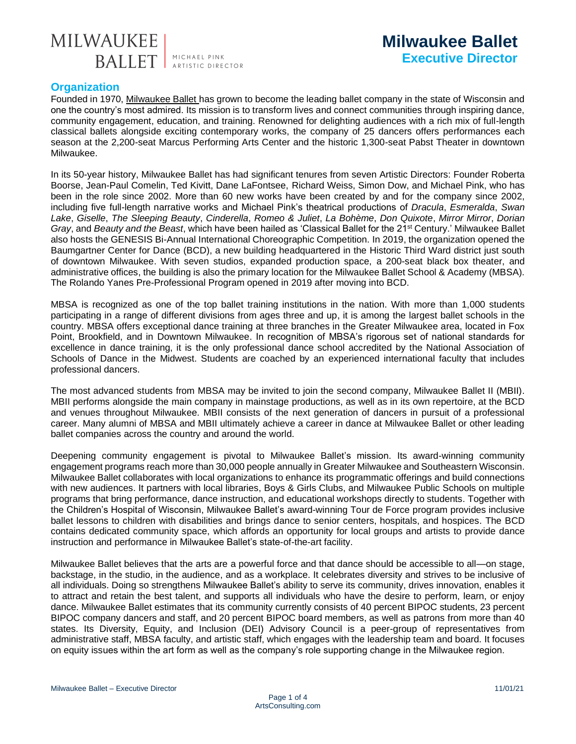

# **Organization**

Founded in 1970, [Milwaukee Ballet h](https://www.milwaukeeballet.org/)as grown to become the leading ballet company in the state of Wisconsin and one the country's most admired. Its mission is to transform lives and connect communities through inspiring dance, community engagement, education, and training. Renowned for delighting audiences with a rich mix of full-length classical ballets alongside exciting contemporary works, the company of 25 dancers offers performances each season at the 2,200-seat Marcus Performing Arts Center and the historic 1,300-seat Pabst Theater in downtown Milwaukee.

In its 50-year history, Milwaukee Ballet has had significant tenures from seven Artistic Directors: Founder Roberta Boorse, Jean-Paul Comelin, Ted Kivitt, Dane LaFontsee, Richard Weiss, Simon Dow, and Michael Pink, who has been in the role since 2002. More than 60 new works have been created by and for the company since 2002, including five full-length narrative works and Michael Pink's theatrical productions of *Dracula*, *Esmeralda*, *Swan Lake*, *Giselle*, *The Sleeping Beauty*, *Cinderella*, *Romeo & Juliet*, *La Bohème*, *Don Quixote*, *Mirror Mirror*, *Dorian Gray*, and *Beauty and the Beast*, which have been hailed as 'Classical Ballet for the 21st Century.' Milwaukee Ballet also hosts the GENESIS Bi-Annual International Choreographic Competition. In 2019, the organization opened the Baumgartner Center for Dance (BCD), a new building headquartered in the Historic Third Ward district just south of downtown Milwaukee. With seven studios, expanded production space, a 200-seat black box theater, and administrative offices, the building is also the primary location for the Milwaukee Ballet School & Academy (MBSA). The Rolando Yanes Pre-Professional Program opened in 2019 after moving into BCD.

MBSA is recognized as one of the top ballet training institutions in the nation. With more than 1,000 students participating in a range of different divisions from ages three and up, it is among the largest ballet schools in the country. MBSA offers exceptional dance training at three branches in the Greater Milwaukee area, located in Fox Point, Brookfield, and in Downtown Milwaukee. In recognition of MBSA's rigorous set of national standards for excellence in dance training, it is the only professional dance school accredited by the National Association of Schools of Dance in the Midwest. Students are coached by an experienced international faculty that includes professional dancers.

The most advanced students from MBSA may be invited to join the second company, Milwaukee Ballet II (MBII). MBII performs alongside the main company in mainstage productions, as well as in its own repertoire, at the BCD and venues throughout Milwaukee. MBII consists of the next generation of dancers in pursuit of a professional career. Many alumni of MBSA and MBII ultimately achieve a career in dance at Milwaukee Ballet or other leading ballet companies across the country and around the world.

Deepening community engagement is pivotal to Milwaukee Ballet's mission. Its award-winning community engagement programs reach more than 30,000 people annually in Greater Milwaukee and Southeastern Wisconsin. Milwaukee Ballet collaborates with local organizations to enhance its programmatic offerings and build connections with new audiences. It partners with local libraries, Boys & Girls Clubs, and Milwaukee Public Schools on multiple programs that bring performance, dance instruction, and educational workshops directly to students. Together with the Children's Hospital of Wisconsin, Milwaukee Ballet's award-winning Tour de Force program provides inclusive ballet lessons to children with disabilities and brings dance to senior centers, hospitals, and hospices. The BCD contains dedicated community space, which affords an opportunity for local groups and artists to provide dance instruction and performance in Milwaukee Ballet's state-of-the-art facility.

Milwaukee Ballet believes that the arts are a powerful force and that dance should be accessible to all—on stage, backstage, in the studio, in the audience, and as a workplace. It celebrates diversity and strives to be inclusive of all individuals. Doing so strengthens Milwaukee Ballet's ability to serve its community, drives innovation, enables it to attract and retain the best talent, and supports all individuals who have the desire to perform, learn, or enjoy dance. Milwaukee Ballet estimates that its community currently consists of 40 percent BIPOC students, 23 percent BIPOC company dancers and staff, and 20 percent BIPOC board members, as well as patrons from more than 40 states. Its Diversity, Equity, and Inclusion (DEI) Advisory Council is a peer-group of representatives from administrative staff, MBSA faculty, and artistic staff, which engages with the leadership team and board. It focuses on equity issues within the art form as well as the company's role supporting change in the Milwaukee region.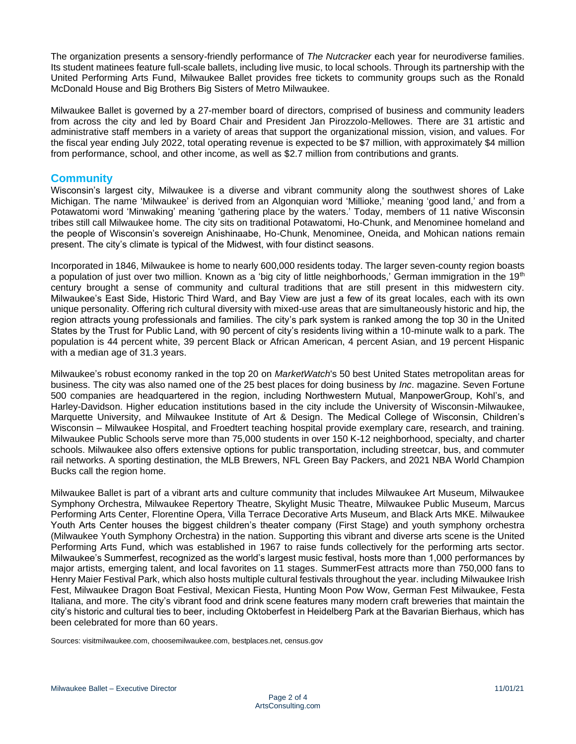The organization presents a sensory-friendly performance of *The Nutcracker* each year for neurodiverse families. Its student matinees feature full-scale ballets, including live music, to local schools. Through its partnership with the United Performing Arts Fund, Milwaukee Ballet provides free tickets to community groups such as the Ronald McDonald House and Big Brothers Big Sisters of Metro Milwaukee.

Milwaukee Ballet is governed by a 27-member board of directors, comprised of business and community leaders from across the city and led by Board Chair and President Jan Pirozzolo-Mellowes. There are 31 artistic and administrative staff members in a variety of areas that support the organizational mission, vision, and values. For the fiscal year ending July 2022, total operating revenue is expected to be \$7 million, with approximately \$4 million from performance, school, and other income, as well as \$2.7 million from contributions and grants.

### **Community**

Wisconsin's largest city, Milwaukee is a diverse and vibrant community along the southwest shores of Lake Michigan. The name 'Milwaukee' is derived from an Algonquian word 'Millioke,' meaning 'good land,' and from a Potawatomi word 'Minwaking' meaning 'gathering place by the waters.' Today, members of 11 native Wisconsin tribes still call Milwaukee home. The city sits on traditional Potawatomi, Ho-Chunk, and Menominee homeland and the people of Wisconsin's sovereign Anishinaabe, Ho-Chunk, Menominee, Oneida, and Mohican nations remain present. The city's climate is typical of the Midwest, with four distinct seasons.

Incorporated in 1846, Milwaukee is home to nearly 600,000 residents today. The larger seven-county region boasts a population of just over two million. Known as a 'big city of little neighborhoods,' German immigration in the 19<sup>th</sup> century brought a sense of community and cultural traditions that are still present in this midwestern city. Milwaukee's East Side, Historic Third Ward, and Bay View are just a few of its great locales, each with its own unique personality. Offering rich cultural diversity with mixed-use areas that are simultaneously historic and hip, the region attracts young professionals and families. The city's park system is ranked among the top 30 in the United States by the Trust for Public Land, with 90 percent of city's residents living within a 10-minute walk to a park. The population is 44 percent white, 39 percent Black or African American, 4 percent Asian, and 19 percent Hispanic with a median age of 31.3 years.

Milwaukee's robust economy ranked in the top 20 on *MarketWatch*'s 50 best United States metropolitan areas for business. The city was also named one of the 25 best places for doing business by *Inc*. magazine. Seven Fortune 500 companies are headquartered in the region, including Northwestern Mutual, ManpowerGroup, Kohl's, and Harley-Davidson. Higher education institutions based in the city include the University of Wisconsin-Milwaukee, Marquette University, and Milwaukee Institute of Art & Design. The Medical College of Wisconsin, Children's Wisconsin – Milwaukee Hospital, and Froedtert teaching hospital provide exemplary care, research, and training. Milwaukee Public Schools serve more than 75,000 students in over 150 K-12 neighborhood, specialty, and charter schools. Milwaukee also offers extensive options for public transportation, including streetcar, bus, and commuter rail networks. A sporting destination, the MLB Brewers, NFL Green Bay Packers, and 2021 NBA World Champion Bucks call the region home.

Milwaukee Ballet is part of a vibrant arts and culture community that includes Milwaukee Art Museum, Milwaukee Symphony Orchestra, Milwaukee Repertory Theatre, Skylight Music Theatre, Milwaukee Public Museum, Marcus Performing Arts Center, Florentine Opera, Villa Terrace Decorative Arts Museum, and Black Arts MKE. Milwaukee Youth Arts Center houses the biggest children's theater company (First Stage) and youth symphony orchestra (Milwaukee Youth Symphony Orchestra) in the nation. Supporting this vibrant and diverse arts scene is the United Performing Arts Fund, which was established in 1967 to raise funds collectively for the performing arts sector. Milwaukee's Summerfest, recognized as the world's largest music festival, hosts more than 1,000 performances by major artists, emerging talent, and local favorites on 11 stages. SummerFest attracts more than 750,000 fans to Henry Maier Festival Park, which also hosts multiple cultural festivals throughout the year. including Milwaukee Irish Fest, Milwaukee Dragon Boat Festival, Mexican Fiesta, Hunting Moon Pow Wow, German Fest Milwaukee, Festa Italiana, and more. The city's vibrant food and drink scene features many modern craft breweries that maintain the city's historic and cultural ties to beer, including Oktoberfest in Heidelberg Park at the Bavarian Bierhaus, which has been celebrated for more than 60 years.

Sources: visitmilwaukee.com, choosemilwaukee.com, bestplaces.net, census.gov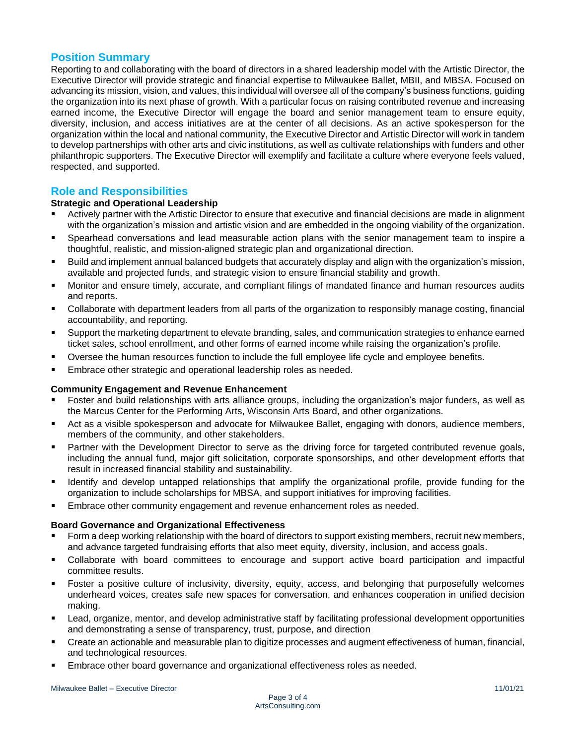## **Position Summary**

Reporting to and collaborating with the board of directors in a shared leadership model with the Artistic Director, the Executive Director will provide strategic and financial expertise to Milwaukee Ballet, MBII, and MBSA. Focused on advancing its mission, vision, and values, this individual will oversee all ofthe company's business functions, guiding the organization into its next phase of growth. With a particular focus on raising contributed revenue and increasing earned income, the Executive Director will engage the board and senior management team to ensure equity, diversity, inclusion, and access initiatives are at the center of all decisions. As an active spokesperson for the organization within the local and national community, the Executive Director and Artistic Director will work in tandem to develop partnerships with other arts and civic institutions, as well as cultivate relationships with funders and other philanthropic supporters. The Executive Director will exemplify and facilitate a culture where everyone feels valued, respected, and supported.

# **Role and Responsibilities**

### **Strategic and Operational Leadership**

- Actively partner with the Artistic Director to ensure that executive and financial decisions are made in alignment with the organization's mission and artistic vision and are embedded in the ongoing viability of the organization.
- Spearhead conversations and lead measurable action plans with the senior management team to inspire a thoughtful, realistic, and mission-aligned strategic plan and organizational direction.
- Build and implement annual balanced budgets that accurately display and align with the organization's mission,  $\blacksquare$ available and projected funds, and strategic vision to ensure financial stability and growth.
- Monitor and ensure timely, accurate, and compliant filings of mandated finance and human resources audits and reports.
- Collaborate with department leaders from all parts of the organization to responsibly manage costing, financial accountability, and reporting.
- Support the marketing department to elevate branding, sales, and communication strategies to enhance earned ticket sales, school enrollment, and other forms of earned income while raising the organization's profile.
- Oversee the human resources function to include the full employee life cycle and employee benefits.
- Embrace other strategic and operational leadership roles as needed.

#### **Community Engagement and Revenue Enhancement**

- Foster and build relationships with arts alliance groups, including the organization's major funders, as well as the Marcus Center for the Performing Arts, Wisconsin Arts Board, and other organizations.
- Act as a visible spokesperson and advocate for Milwaukee Ballet, engaging with donors, audience members, members of the community, and other stakeholders.
- Partner with the Development Director to serve as the driving force for targeted contributed revenue goals, including the annual fund, major gift solicitation, corporate sponsorships, and other development efforts that result in increased financial stability and sustainability.
- Identify and develop untapped relationships that amplify the organizational profile, provide funding for the organization to include scholarships for MBSA, and support initiatives for improving facilities.
- Embrace other community engagement and revenue enhancement roles as needed.

#### **Board Governance and Organizational Effectiveness**

- Form a deep working relationship with the board of directors to support existing members, recruit new members, and advance targeted fundraising efforts that also meet equity, diversity, inclusion, and access goals.
- Collaborate with board committees to encourage and support active board participation and impactful committee results.
- Foster a positive culture of inclusivity, diversity, equity, access, and belonging that purposefully welcomes underheard voices, creates safe new spaces for conversation, and enhances cooperation in unified decision making.
- Lead, organize, mentor, and develop administrative staff by facilitating professional development opportunities and demonstrating a sense of transparency, trust, purpose, and direction
- Create an actionable and measurable plan to digitize processes and augment effectiveness of human, financial, and technological resources.
- Embrace other board governance and organizational effectiveness roles as needed.